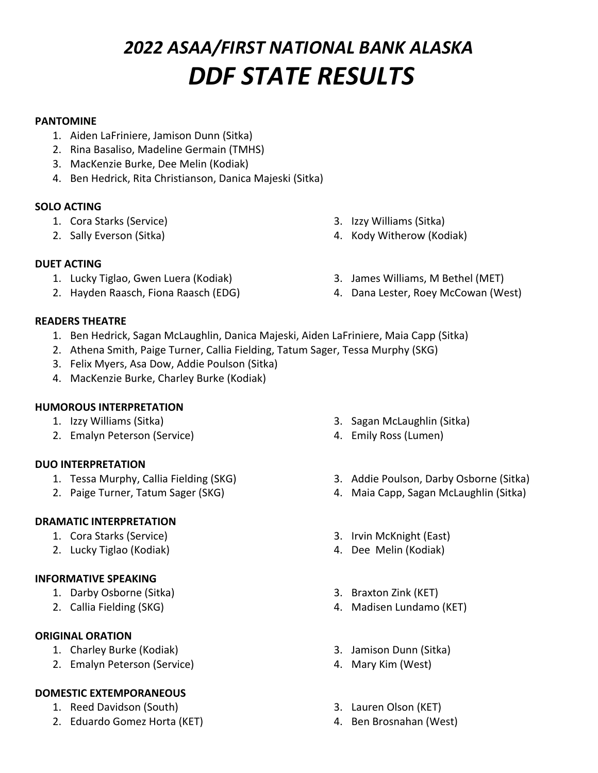# *2022 ASAA/FIRST NATIONAL BANK ALASKA DDF STATE RESULTS*

## **PANTOMINE**

- 1. Aiden LaFriniere, Jamison Dunn (Sitka)
- 2. Rina Basaliso, Madeline Germain (TMHS)
- 3. MacKenzie Burke, Dee Melin (Kodiak)
- 4. Ben Hedrick, Rita Christianson, Danica Majeski (Sitka)

## **SOLO ACTING**

- 1. Cora Starks (Service)
- 2. Sally Everson (Sitka)
- 3. Izzy Williams (Sitka)
- 4. Kody Witherow (Kodiak)

- **DUET ACTING**
	- 1. Lucky Tiglao, Gwen Luera (Kodiak)
	- 2. Hayden Raasch, Fiona Raasch (EDG)
- 3. James Williams, M Bethel (MET)
- 4. Dana Lester, Roey McCowan (West)

## **READERS THEATRE**

- 1. Ben Hedrick, Sagan McLaughlin, Danica Majeski, Aiden LaFriniere, Maia Capp (Sitka)
- 2. Athena Smith, Paige Turner, Callia Fielding, Tatum Sager, Tessa Murphy (SKG)
- 3. Felix Myers, Asa Dow, Addie Poulson (Sitka)
- 4. MacKenzie Burke, Charley Burke (Kodiak)

## **HUMOROUS INTERPRETATION**

- 1. Izzy Williams (Sitka)
- 2. Emalyn Peterson (Service)

# **DUO INTERPRETATION**

- 1. Tessa Murphy, Callia Fielding (SKG)
- 2. Paige Turner, Tatum Sager (SKG)

# **DRAMATIC INTERPRETATION**

- 1. Cora Starks (Service)
- 2. Lucky Tiglao (Kodiak)

# **INFORMATIVE SPEAKING**

- 1. Darby Osborne (Sitka)
- 2. Callia Fielding (SKG)

# **ORIGINAL ORATION**

- 1. Charley Burke (Kodiak)
- 2. Emalyn Peterson (Service)

# **DOMESTIC EXTEMPORANEOUS**

- 1. Reed Davidson (South)
- 2. Eduardo Gomez Horta (KET)
- 3. Sagan McLaughlin (Sitka)
- 4. Emily Ross (Lumen)
- 3. Addie Poulson, Darby Osborne (Sitka)
- 4. Maia Capp, Sagan McLaughlin (Sitka)
- 3. Irvin McKnight (East)
- 4. Dee Melin (Kodiak)
- 3. Braxton Zink (KET)
- 4. Madisen Lundamo (KET)
- 3. Jamison Dunn (Sitka)
- 4. Mary Kim (West)
- 3. Lauren Olson (KET)
- 4. Ben Brosnahan (West)